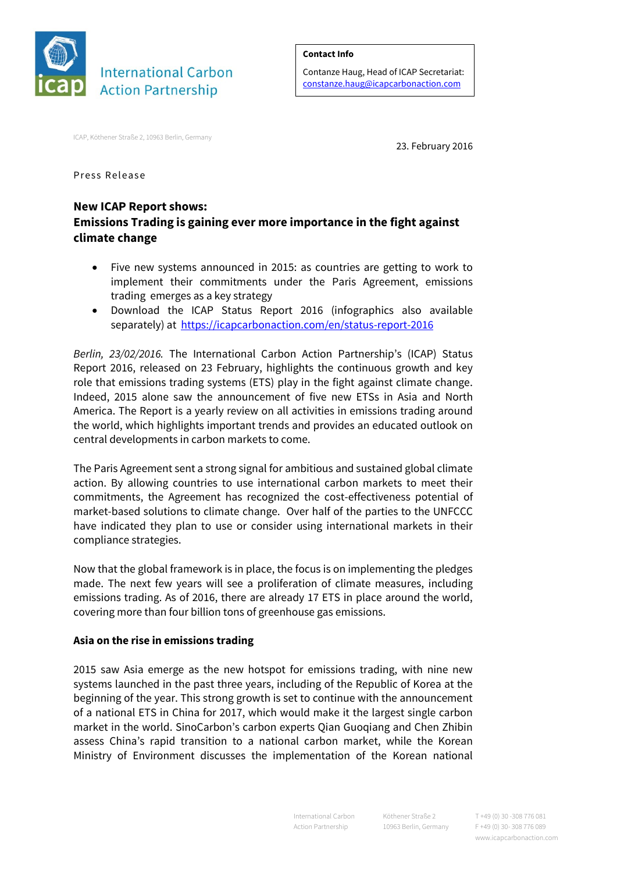

#### **Contact Info**

Contanze Haug, Head of ICAP Secretariat: [constanze.haug@icapcarbonaction.com](mailto:constanze.haug@icapcarbonaction.com)

ICAP, Köthener Straße 2, 10963 Berlin, Germany

23. February 2016

Press Release

# **New ICAP Report shows: Emissions Trading is gaining ever more importance in the fight against climate change**

- Five new systems announced in 2015: as countries are getting to work to implement their commitments under the Paris Agreement, emissions trading emerges as a key strategy
- Download the ICAP Status Report 2016 (infographics also available separately) at<https://icapcarbonaction.com/en/status-report-2016>

*Berlin, 23/02/2016.* The International Carbon Action Partnership's (ICAP) Status Report 2016, released on 23 February, highlights the continuous growth and key role that emissions trading systems (ETS) play in the fight against climate change. Indeed, 2015 alone saw the announcement of five new ETSs in Asia and North America. The Report is a yearly review on all activities in emissions trading around the world, which highlights important trends and provides an educated outlook on central developments in carbon markets to come.

The Paris Agreement sent a strong signal for ambitious and sustained global climate action. By allowing countries to use international carbon markets to meet their commitments, the Agreement has recognized the cost-effectiveness potential of market-based solutions to climate change. Over half of the parties to the UNFCCC have indicated they plan to use or consider using international markets in their compliance strategies.

Now that the global framework is in place, the focus is on implementing the pledges made. The next few years will see a proliferation of climate measures, including emissions trading. As of 2016, there are already 17 ETS in place around the world, covering more than four billion tons of greenhouse gas emissions.

### **Asia on the rise in emissions trading**

2015 saw Asia emerge as the new hotspot for emissions trading, with nine new systems launched in the past three years, including of the Republic of Korea at the beginning of the year. This strong growth is set to continue with the announcement of a national ETS in China for 2017, which would make it the largest single carbon market in the world. SinoCarbon's carbon experts Qian Guoqiang and Chen Zhibin assess China's rapid transition to a national carbon market, while the Korean Ministry of Environment discusses the implementation of the Korean national